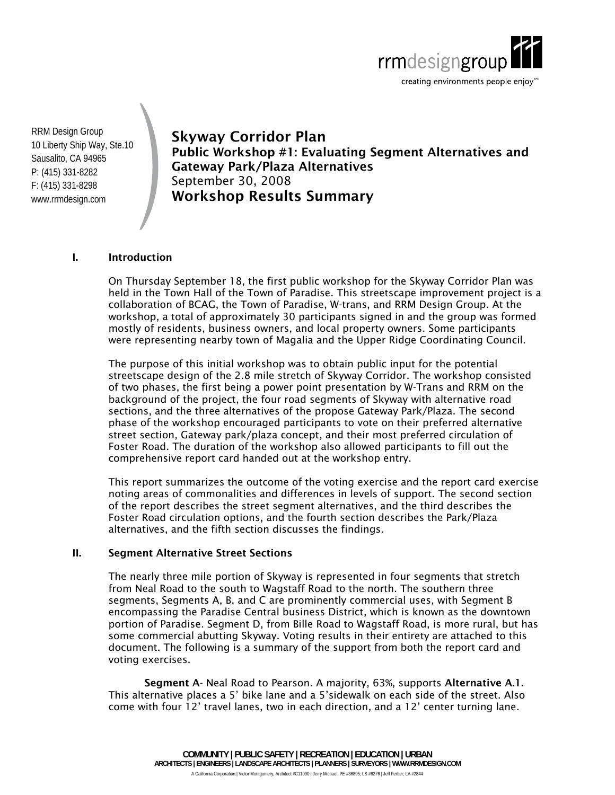

RRM Design Group 10 Liberty Ship Way, Ste.10 Sausalito, CA 94965 P: (415) 331-8282 F: (415) 331-8298 www.rrmdesign.com

**Skyway Corridor Plan Public Workshop #1: Evaluating Segment Alternatives and Gateway Park/Plaza Alternatives**  September 30, 2008 **Workshop Results Summary** 

### **I. Introduction**

On Thursday September 18, the first public workshop for the Skyway Corridor Plan was held in the Town Hall of the Town of Paradise. This streetscape improvement project is a collaboration of BCAG, the Town of Paradise, W-trans, and RRM Design Group. At the workshop, a total of approximately 30 participants signed in and the group was formed mostly of residents, business owners, and local property owners. Some participants were representing nearby town of Magalia and the Upper Ridge Coordinating Council.

The purpose of this initial workshop was to obtain public input for the potential streetscape design of the 2.8 mile stretch of Skyway Corridor. The workshop consisted of two phases, the first being a power point presentation by W-Trans and RRM on the background of the project, the four road segments of Skyway with alternative road sections, and the three alternatives of the propose Gateway Park/Plaza. The second phase of the workshop encouraged participants to vote on their preferred alternative street section, Gateway park/plaza concept, and their most preferred circulation of Foster Road. The duration of the workshop also allowed participants to fill out the comprehensive report card handed out at the workshop entry.

This report summarizes the outcome of the voting exercise and the report card exercise noting areas of commonalities and differences in levels of support. The second section of the report describes the street segment alternatives, and the third describes the Foster Road circulation options, and the fourth section describes the Park/Plaza alternatives, and the fifth section discusses the findings.

#### **II. Segment Alternative Street Sections**

The nearly three mile portion of Skyway is represented in four segments that stretch from Neal Road to the south to Wagstaff Road to the north. The southern three segments, Segments A, B, and C are prominently commercial uses, with Segment B encompassing the Paradise Central business District, which is known as the downtown portion of Paradise. Segment D, from Bille Road to Wagstaff Road, is more rural, but has some commercial abutting Skyway. Voting results in their entirety are attached to this document. The following is a summary of the support from both the report card and voting exercises.

**Segment A**- Neal Road to Pearson. A majority, 63%, supports **Alternative A.1.**  This alternative places a 5' bike lane and a 5'sidewalk on each side of the street. Also come with four 12' travel lanes, two in each direction, and a 12' center turning lane.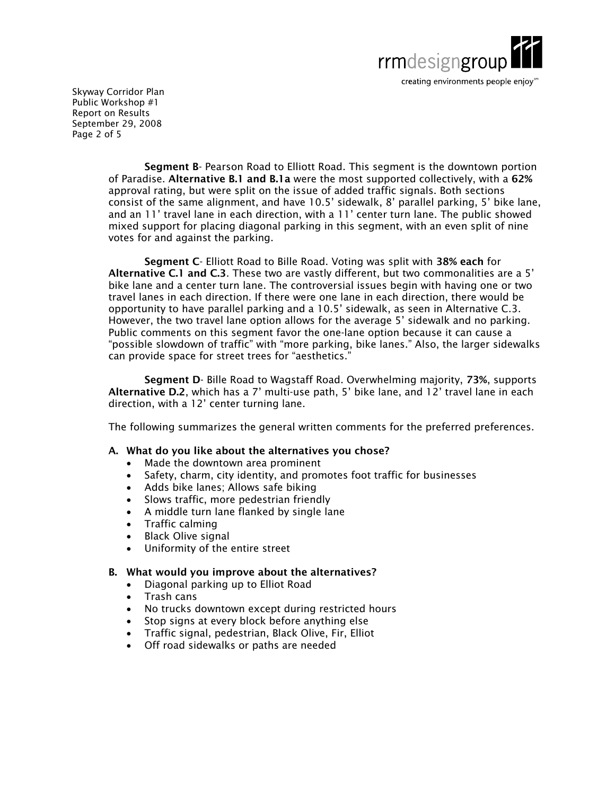

Skyway Corridor Plan Public Workshop #1 Report on Results September 29, 2008 Page 2 of 5

> **Segment B**- Pearson Road to Elliott Road. This segment is the downtown portion of Paradise. **Alternative B.1 and B.1a** were the most supported collectively, with a **62%**  approval rating, but were split on the issue of added traffic signals. Both sections consist of the same alignment, and have 10.5' sidewalk, 8' parallel parking, 5' bike lane, and an 11' travel lane in each direction, with a 11' center turn lane. The public showed mixed support for placing diagonal parking in this segment, with an even split of nine votes for and against the parking.

> **Segment C**- Elliott Road to Bille Road. Voting was split with **38% each** for **Alternative C.1 and C.3**. These two are vastly different, but two commonalities are a 5' bike lane and a center turn lane. The controversial issues begin with having one or two travel lanes in each direction. If there were one lane in each direction, there would be opportunity to have parallel parking and a 10.5' sidewalk, as seen in Alternative C.3. However, the two travel lane option allows for the average 5' sidewalk and no parking. Public comments on this segment favor the one-lane option because it can cause a "possible slowdown of traffic" with "more parking, bike lanes." Also, the larger sidewalks can provide space for street trees for "aesthetics."

> **Segment D**- Bille Road to Wagstaff Road. Overwhelming majority, **73%**, supports **Alternative D.2**, which has a 7' multi-use path, 5' bike lane, and 12' travel lane in each direction, with a 12' center turning lane.

> The following summarizes the general written comments for the preferred preferences.

#### **A. What do you like about the alternatives you chose?**

- Made the downtown area prominent
- Safety, charm, city identity, and promotes foot traffic for businesses
- Adds bike lanes; Allows safe biking
- Slows traffic, more pedestrian friendly
- A middle turn lane flanked by single lane
- Traffic calming
- Black Olive signal
- Uniformity of the entire street

# **B. What would you improve about the alternatives?**

- Diagonal parking up to Elliot Road
- Trash cans
- No trucks downtown except during restricted hours
- Stop signs at every block before anything else
- Traffic signal, pedestrian, Black Olive, Fir, Elliot
- Off road sidewalks or paths are needed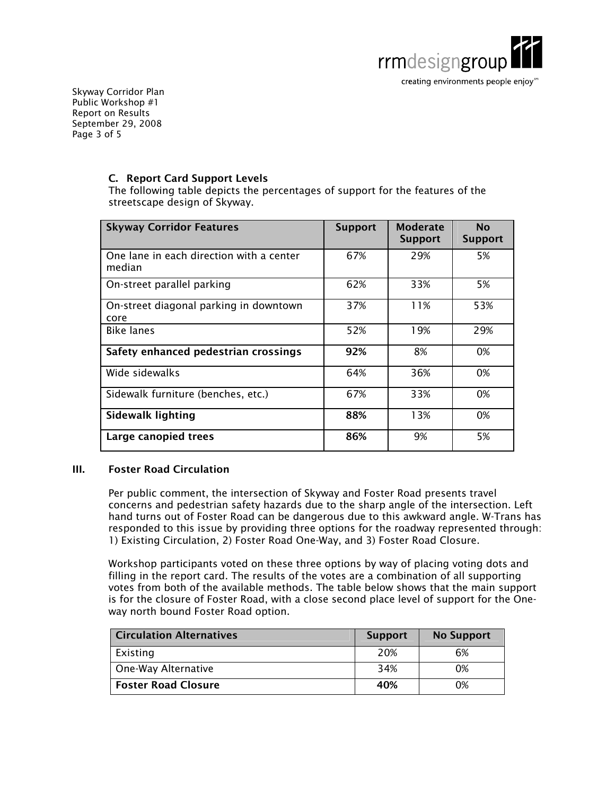

Skyway Corridor Plan Public Workshop #1 Report on Results September 29, 2008 Page 3 of 5

# **C. Report Card Support Levels**

The following table depicts the percentages of support for the features of the streetscape design of Skyway.

| <b>Skyway Corridor Features</b>                    | <b>Support</b> | <b>Moderate</b><br><b>Support</b> | <b>No</b><br><b>Support</b> |
|----------------------------------------------------|----------------|-----------------------------------|-----------------------------|
| One lane in each direction with a center<br>median | 67%            | 29%                               | 5%                          |
| On-street parallel parking                         | 62%            | 33%                               | 5%                          |
| On-street diagonal parking in downtown<br>core     | 37%            | 11%                               | 53%                         |
| <b>Bike lanes</b>                                  | 52%            | 19%                               | 29%                         |
| Safety enhanced pedestrian crossings               | 92%            | 8%                                | 0%                          |
| Wide sidewalks                                     | 64%            | 36%                               | 0%                          |
| Sidewalk furniture (benches, etc.)                 | 67%            | 33%                               | 0%                          |
| <b>Sidewalk lighting</b>                           | 88%            | 13%                               | 0%                          |
| Large canopied trees                               | 86%            | 9%                                | 5%                          |

# **III. Foster Road Circulation**

Per public comment, the intersection of Skyway and Foster Road presents travel concerns and pedestrian safety hazards due to the sharp angle of the intersection. Left hand turns out of Foster Road can be dangerous due to this awkward angle. W-Trans has responded to this issue by providing three options for the roadway represented through: 1) Existing Circulation, 2) Foster Road One-Way, and 3) Foster Road Closure.

Workshop participants voted on these three options by way of placing voting dots and filling in the report card. The results of the votes are a combination of all supporting votes from both of the available methods. The table below shows that the main support is for the closure of Foster Road, with a close second place level of support for the Oneway north bound Foster Road option.

| <b>Circulation Alternatives</b> | <b>Support</b> | <b>No Support</b> |
|---------------------------------|----------------|-------------------|
| Existing                        | 20%            | 6%                |
| One-Way Alternative             | 34%            | 0%                |
| <b>Foster Road Closure</b>      | 40%            | 0%                |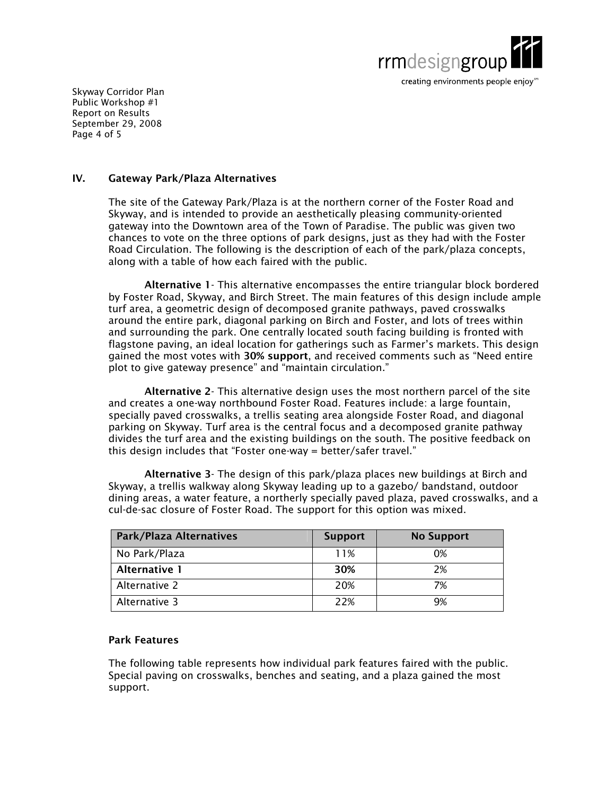

Skyway Corridor Plan Public Workshop #1 Report on Results September 29, 2008 Page 4 of 5

#### **IV. Gateway Park/Plaza Alternatives**

The site of the Gateway Park/Plaza is at the northern corner of the Foster Road and Skyway, and is intended to provide an aesthetically pleasing community-oriented gateway into the Downtown area of the Town of Paradise. The public was given two chances to vote on the three options of park designs, just as they had with the Foster Road Circulation. The following is the description of each of the park/plaza concepts, along with a table of how each faired with the public.

**Alternative 1**- This alternative encompasses the entire triangular block bordered by Foster Road, Skyway, and Birch Street. The main features of this design include ample turf area, a geometric design of decomposed granite pathways, paved crosswalks around the entire park, diagonal parking on Birch and Foster, and lots of trees within and surrounding the park. One centrally located south facing building is fronted with flagstone paving, an ideal location for gatherings such as Farmer's markets. This design gained the most votes with **30% support**, and received comments such as "Need entire plot to give gateway presence" and "maintain circulation."

**Alternative 2**- This alternative design uses the most northern parcel of the site and creates a one-way northbound Foster Road. Features include: a large fountain, specially paved crosswalks, a trellis seating area alongside Foster Road, and diagonal parking on Skyway. Turf area is the central focus and a decomposed granite pathway divides the turf area and the existing buildings on the south. The positive feedback on this design includes that "Foster one-way = better/safer travel."

**Alternative 3**- The design of this park/plaza places new buildings at Birch and Skyway, a trellis walkway along Skyway leading up to a gazebo/ bandstand, outdoor dining areas, a water feature, a northerly specially paved plaza, paved crosswalks, and a cul-de-sac closure of Foster Road. The support for this option was mixed.

| <b>Park/Plaza Alternatives</b> | <b>Support</b> | <b>No Support</b> |
|--------------------------------|----------------|-------------------|
| No Park/Plaza                  | 11%            | 0%                |
| <b>Alternative 1</b>           | 30%            | 2%                |
| Alternative 2                  | 20%            | 7%                |
| Alternative 3                  | 22%            | 9%                |

# **Park Features**

The following table represents how individual park features faired with the public. Special paving on crosswalks, benches and seating, and a plaza gained the most support.